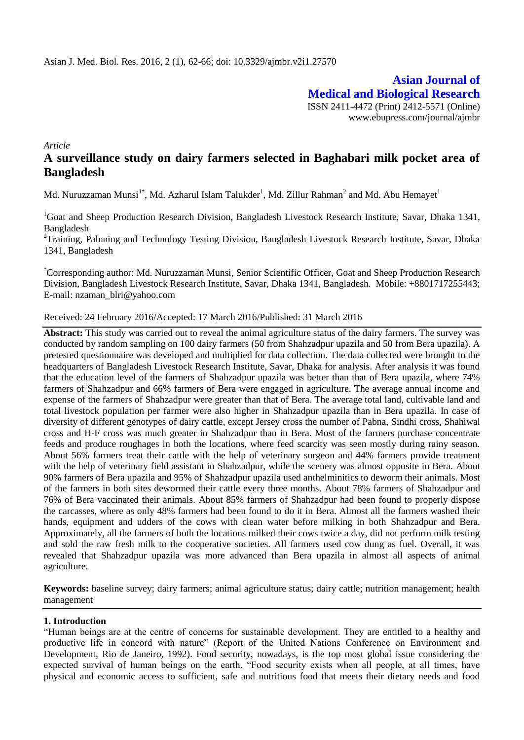**Asian Journal of Medical and Biological Research** ISSN 2411-4472 (Print) 2412-5571 (Online) www.ebupress.com/journal/ajmbr

*Article*

# **A surveillance study on dairy farmers selected in Baghabari milk pocket area of Bangladesh**

Md. Nuruzzaman Munsi $^{1^\ast}$ , Md. Azharul Islam Talukder $^1$ , Md. Zillur Rahman $^2$  and Md. Abu Hemayet $^1$ 

<sup>1</sup>Goat and Sheep Production Research Division, Bangladesh Livestock Research Institute, Savar, Dhaka 1341, Bangladesh

<sup>2</sup>Training, Palnning and Technology Testing Division, Bangladesh Livestock Research Institute, Savar, Dhaka 1341, Bangladesh

\*Corresponding author: Md. Nuruzzaman Munsi, Senior Scientific Officer, Goat and Sheep Production Research Division, Bangladesh Livestock Research Institute, Savar, Dhaka 1341, Bangladesh. Mobile: +8801717255443; E-mail: nzaman\_blri@yahoo.com

Received: 24 February 2016/Accepted: 17 March 2016/Published: 31 March 2016

**Abstract:** This study was carried out to reveal the animal agriculture status of the dairy farmers. The survey was conducted by random sampling on 100 dairy farmers (50 from Shahzadpur upazila and 50 from Bera upazila). A pretested questionnaire was developed and multiplied for data collection. The data collected were brought to the headquarters of Bangladesh Livestock Research Institute, Savar, Dhaka for analysis. After analysis it was found that the education level of the farmers of Shahzadpur upazila was better than that of Bera upazila, where 74% farmers of Shahzadpur and 66% farmers of Bera were engaged in agriculture. The average annual income and expense of the farmers of Shahzadpur were greater than that of Bera. The average total land, cultivable land and total livestock population per farmer were also higher in Shahzadpur upazila than in Bera upazila. In case of diversity of different genotypes of dairy cattle, except Jersey cross the number of Pabna, Sindhi cross, Shahiwal cross and H-F cross was much greater in Shahzadpur than in Bera. Most of the farmers purchase concentrate feeds and produce roughages in both the locations, where feed scarcity was seen mostly during rainy season. About 56% farmers treat their cattle with the help of veterinary surgeon and 44% farmers provide treatment with the help of veterinary field assistant in Shahzadpur, while the scenery was almost opposite in Bera. About 90% farmers of Bera upazila and 95% of Shahzadpur upazila used anthelminitics to deworm their animals. Most of the farmers in both sites dewormed their cattle every three months. About 78% farmers of Shahzadpur and 76% of Bera vaccinated their animals. About 85% farmers of Shahzadpur had been found to properly dispose the carcasses, where as only 48% farmers had been found to do it in Bera. Almost all the farmers washed their hands, equipment and udders of the cows with clean water before milking in both Shahzadpur and Bera. Approximately, all the farmers of both the locations milked their cows twice a day, did not perform milk testing and sold the raw fresh milk to the cooperative societies. All farmers used cow dung as fuel. Overall, it was revealed that Shahzadpur upazila was more advanced than Bera upazila in almost all aspects of animal agriculture.

**Keywords:** baseline survey; dairy farmers; animal agriculture status; dairy cattle; nutrition management; health management

# **1. Introduction**

"Human beings are at the centre of concerns for sustainable development. They are entitled to a healthy and productive life in concord with nature" (Report of the United Nations Conference on Environment and Development, Rio de Janeiro, 1992). Food security, nowadays, is the top most global issue considering the expected survival of human beings on the earth. "Food security exists when all people, at all times, have physical and economic access to sufficient, safe and nutritious food that meets their dietary needs and food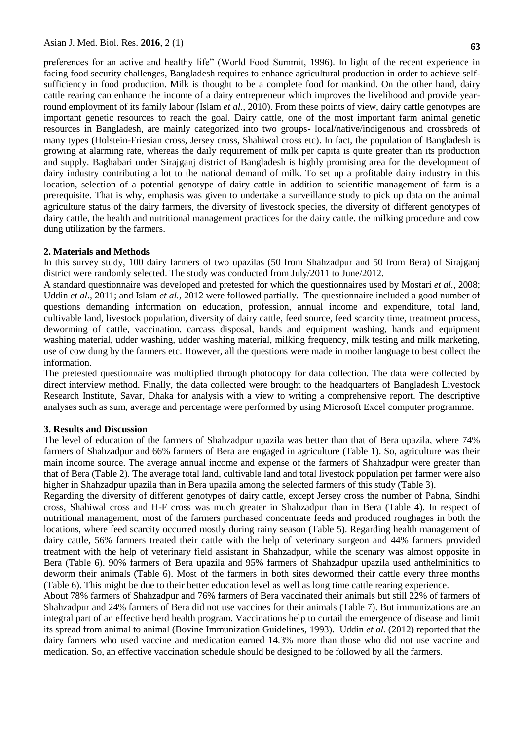preferences for an active and healthy life" (World Food Summit, 1996). In light of the recent experience in facing food security challenges, Bangladesh requires to enhance agricultural production in order to achieve selfsufficiency in food production. Milk is thought to be a complete food for mankind. On the other hand, dairy cattle rearing can enhance the income of a dairy entrepreneur which improves the livelihood and provide yearround employment of its family labour (Islam *et al.,* 2010). From these points of view, dairy cattle genotypes are important genetic resources to reach the goal. Dairy cattle, one of the most important farm animal genetic resources in Bangladesh, are mainly categorized into two groups- local/native/indigenous and crossbreds of many types (Holstein-Friesian cross, Jersey cross, Shahiwal cross etc). In fact, the population of Bangladesh is growing at alarming rate, whereas the daily requirement of milk per capita is quite greater than its production and supply. Baghabari under Sirajganj district of Bangladesh is highly promising area for the development of dairy industry contributing a lot to the national demand of milk. To set up a profitable dairy industry in this location, selection of a potential genotype of dairy cattle in addition to scientific management of farm is a prerequisite. That is why, emphasis was given to undertake a surveillance study to pick up data on the animal agriculture status of the dairy farmers, the diversity of livestock species, the diversity of different genotypes of dairy cattle, the health and nutritional management practices for the dairy cattle, the milking procedure and cow dung utilization by the farmers.

#### **2. Materials and Methods**

In this survey study, 100 dairy farmers of two upazilas (50 from Shahzadpur and 50 from Bera) of Sirajganj district were randomly selected. The study was conducted from July/2011 to June/2012.

A standard questionnaire was developed and pretested for which the questionnaires used by Mostari *et al.,* 2008; Uddin *et al.,* 2011; and Islam *et al.,* 2012 were followed partially. The questionnaire included a good number of questions demanding information on education, profession, annual income and expenditure, total land, cultivable land, livestock population, diversity of dairy cattle, feed source, feed scarcity time, treatment process, deworming of cattle, vaccination, carcass disposal, hands and equipment washing, hands and equipment washing material, udder washing, udder washing material, milking frequency, milk testing and milk marketing, use of cow dung by the farmers etc. However, all the questions were made in mother language to best collect the information.

The pretested questionnaire was multiplied through photocopy for data collection. The data were collected by direct interview method. Finally, the data collected were brought to the headquarters of Bangladesh Livestock Research Institute, Savar, Dhaka for analysis with a view to writing a comprehensive report. The descriptive analyses such as sum, average and percentage were performed by using Microsoft Excel computer programme.

#### **3. Results and Discussion**

The level of education of the farmers of Shahzadpur upazila was better than that of Bera upazila, where 74% farmers of Shahzadpur and 66% farmers of Bera are engaged in agriculture (Table 1). So, agriculture was their main income source. The average annual income and expense of the farmers of Shahzadpur were greater than that of Bera (Table 2). The average total land, cultivable land and total livestock population per farmer were also higher in Shahzadpur upazila than in Bera upazila among the selected farmers of this study (Table 3).

Regarding the diversity of different genotypes of dairy cattle, except Jersey cross the number of Pabna, Sindhi cross, Shahiwal cross and H-F cross was much greater in Shahzadpur than in Bera (Table 4). In respect of nutritional management, most of the farmers purchased concentrate feeds and produced roughages in both the locations, where feed scarcity occurred mostly during rainy season (Table 5). Regarding health management of dairy cattle, 56% farmers treated their cattle with the help of veterinary surgeon and 44% farmers provided treatment with the help of veterinary field assistant in Shahzadpur, while the scenary was almost opposite in Bera (Table 6). 90% farmers of Bera upazila and 95% farmers of Shahzadpur upazila used anthelminitics to deworm their animals (Table 6). Most of the farmers in both sites dewormed their cattle every three months (Table 6). This might be due to their better education level as well as long time cattle rearing experience.

About 78% farmers of Shahzadpur and 76% farmers of Bera vaccinated their animals but still 22% of farmers of Shahzadpur and 24% farmers of Bera did not use vaccines for their animals (Table 7). But immunizations are an integral part of an effective herd health program. Vaccinations help to curtail the emergence of disease and limit its spread from animal to animal (Bovine Immunization Guidelines, 1993). Uddin *et al.* (2012) reported that the dairy farmers who used vaccine and medication earned 14.3% more than those who did not use vaccine and medication. So, an effective vaccination schedule should be designed to be followed by all the farmers.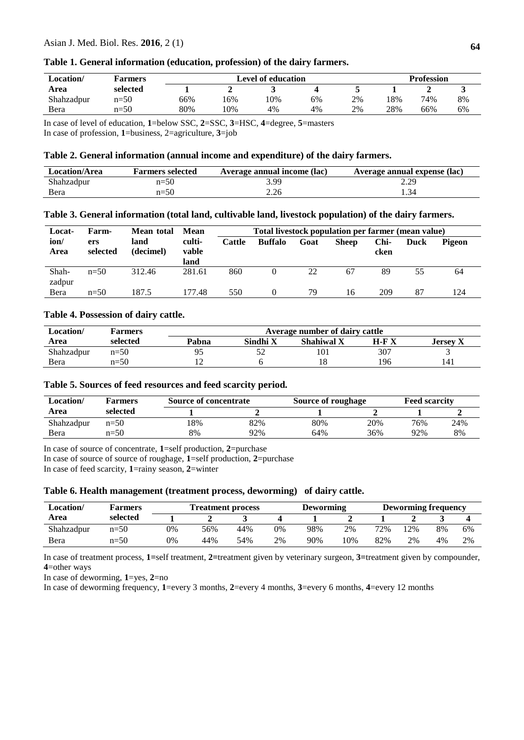# **Table 1. General information (education, profession) of the dairy farmers.**

| Location/  | <b>Farmers</b> |     | Level of education | <b>Profession</b> |    |    |     |     |    |
|------------|----------------|-----|--------------------|-------------------|----|----|-----|-----|----|
| Area       | selected       |     |                    |                   |    |    |     |     |    |
| Shahzadpur | $n=50$         | 66% | 6%                 | .0%               | 6% | 2% | 18% | 74% | 8% |
| Bera       | $n=50$         | 80% | 10%                | 4%                | 4% | 2% | 28% | 66% | 6% |

In case of level of education, **1**=below SSC, **2**=SSC, **3**=HSC, **4**=degree, **5**=masters

In case of profession, **1**=business, 2=agriculture, **3**=job

## **Table 2. General information (annual income and expenditure) of the dairy farmers.**

| <b>Location/Area</b> | <b>Farmers selected</b> | Average annual income (lac) | Average annual expense (lac) |
|----------------------|-------------------------|-----------------------------|------------------------------|
| Shahzadpur           | $n=50$                  | 3.99                        | 2.29                         |
| Bera                 | $n=50$                  | 2.26                        |                              |

## **Table 3. General information (total land, cultivable land, livestock population) of the dairy farmers.**

| Locat-          | Farm-           | Mean total        | Mean                    | Total livestock population per farmer (mean value) |                |      |              |              |      |        |
|-----------------|-----------------|-------------------|-------------------------|----------------------------------------------------|----------------|------|--------------|--------------|------|--------|
| ion/<br>Area    | ers<br>selected | land<br>(decimel) | culti-<br>vable<br>land | Cattle                                             | <b>Buffalo</b> | Goat | <b>Sheep</b> | Chi-<br>cken | Duck | Pigeon |
| Shah-<br>zadpur | $n=50$          | 312.46            | 281.61                  | 860                                                |                | 22   | 67           | 89           | 55   | 64     |
| Bera            | $n=50$          | 187.5             | 177.48                  | 550                                                |                | 79   | 16           | 209          | 87   | 124    |

# **Table 4. Possession of dairy cattle.**

| Location/  | Farmers  |       | Average number of dairy cattle |            |             |                 |  |  |  |  |  |
|------------|----------|-------|--------------------------------|------------|-------------|-----------------|--|--|--|--|--|
| Area       | selected | Pabna | Sindhi X                       | Shahiwal X | $H$ - $F X$ | <b>Jersey X</b> |  |  |  |  |  |
| Shahzadpur | $n=50$   | Q٤    |                                | 101        | 307         |                 |  |  |  |  |  |
| Bera       | $n=50$   |       |                                | 10         | 196         | 141             |  |  |  |  |  |

## **Table 5. Sources of feed resources and feed scarcity period.**

| Location/<br><b>Farmers</b> |          | <b>Source of concentrate</b> |     | Source of roughage |     | <b>Feed scarcity</b> |     |  |
|-----------------------------|----------|------------------------------|-----|--------------------|-----|----------------------|-----|--|
| Area                        | selected |                              |     |                    |     |                      |     |  |
| Shahzadpur                  | $n=50$   | 18%                          | 82% | 80%                | 20% | 76%                  | 24% |  |
| Bera                        | $n=50$   | 8%                           | 92% | 64%                | 36% | 92%                  | 8%  |  |

In case of source of concentrate, **1**=self production, **2**=purchase

In case of source of source of roughage, **1**=self production, **2**=purchase

In case of feed scarcity, **1**=rainy season, **2**=winter

### **Table 6. Health management (treatment process, deworming) of dairy cattle.**

| Location/  | <b>Farmers</b> | <b>Treatment process</b> |     |     |    | Deworming |     |     | Deworming frequency |    |    |  |
|------------|----------------|--------------------------|-----|-----|----|-----------|-----|-----|---------------------|----|----|--|
| Area       | selected       |                          |     |     |    |           |     |     |                     |    |    |  |
| Shahzadpur | $n=50$         | 0%                       | 56% | 44% | 0% | 98%       | 2%  | 72% | $12\%$              | 8% | 6% |  |
| Bera       | $n=50$         | 0%                       | 44% | 54% | 2% | 90%       | 10% | 82% | 2%                  | 4% | 2% |  |

In case of treatment process, **1=**self treatment, **2=**treatment given by veterinary surgeon, **3=**treatment given by compounder, **4**=other ways

In case of deworming, **1**=yes, **2**=no

In case of deworming frequency, **1**=every 3 months, **2**=every 4 months, **3**=every 6 months, **4**=every 12 months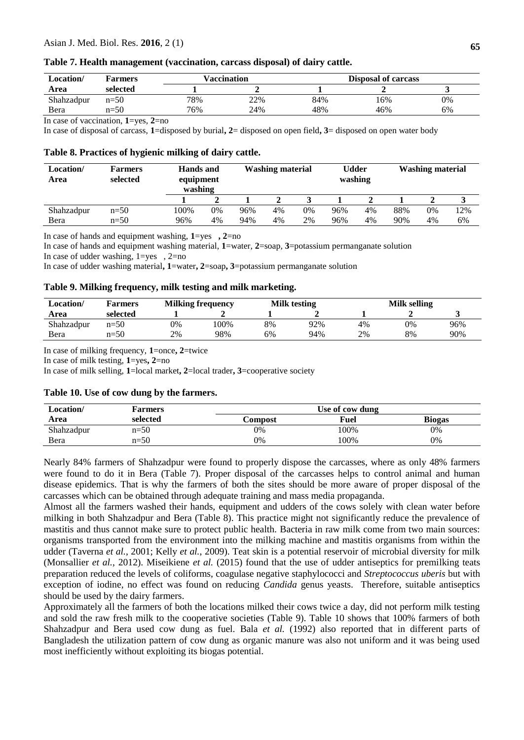#### Asian J. Med. Biol. Res. **2016**, 2 (1)

| Table 7. Health management (vaccination, carcass disposal) of dairy cattle. |  |  |
|-----------------------------------------------------------------------------|--|--|
|                                                                             |  |  |

| Location/  | <b>Farmers</b> |     | Vaccination |     | <b>Disposal of carcass</b> |    |  |
|------------|----------------|-----|-------------|-----|----------------------------|----|--|
| Area       | selected       |     |             |     |                            |    |  |
| Shahzadpur | $n=50$         | 78% | 22%         | 84% | 16%                        | 0% |  |
| Bera       | $n=50$         | 76% | 24%         | 48% | 46%                        | 6% |  |

In case of vaccination, **1**=yes, **2**=no

In case of disposal of carcass, **1**=disposed by burial**, 2**= disposed on open field**, 3**= disposed on open water body

### **Table 8. Practices of hygienic milking of dairy cattle.**

| Location/<br>Area | <b>Farmers</b><br>selected |      | <b>Hands</b> and<br>equipment<br>washing |     | <b>Washing material</b> |    |     | Udder<br>washing |     | <b>Washing material</b> |     |
|-------------------|----------------------------|------|------------------------------------------|-----|-------------------------|----|-----|------------------|-----|-------------------------|-----|
|                   |                            |      |                                          |     |                         |    |     |                  |     |                         |     |
| Shahzadpur        | $n=50$                     | 100% | 0%                                       | 96% | 4%                      | 0% | 96% | 4%               | 88% | $0\%$                   | 12% |
| Bera              | $n=50$                     | 96%  | 4%                                       | 94% | 4%                      | 2% | 96% | 4%               | 90% | 4%                      | 6%  |

In case of hands and equipment washing, **1**=yes **, 2**=no

In case of hands and equipment washing material, **1**=water, **2**=soap, **3**=potassium permanganate solution

In case of udder washing,  $1 = yes \dots 2 = no$ 

In case of udder washing material**, 1**=water**, 2**=soap**, 3**=potassium permanganate solution

#### **Table 9. Milking frequency, milk testing and milk marketing.**

| Location/  | Farmers  |    | <b>Milking frequency</b> | Milk testing |     | Milk selling |    |     |
|------------|----------|----|--------------------------|--------------|-----|--------------|----|-----|
| Area       | selected |    |                          |              |     |              |    |     |
| Shahzadpur | $n=50$   | 0% | 100%                     | 8%           | 92% | 4%           | 0% | 96% |
| Bera       | $n=50$   | 2% | 98%                      | 6%           | 94% | 2%           | 8% | 90% |

In case of milking frequency, **1**=once**, 2**=twice

In case of milk testing, **1**=yes**, 2**=no

In case of milk selling, **1**=local market**, 2**=local trader**, 3**=cooperative society

### **Table 10. Use of cow dung by the farmers.**

| Location/  | <b>Farmers</b> | Use of cow dung |      |               |  |  |  |  |
|------------|----------------|-----------------|------|---------------|--|--|--|--|
| Area       | selected       | Compost         | Fuel | <b>Biogas</b> |  |  |  |  |
| Shahzadpur | $n=50$         | 0%              | 100% | 0%            |  |  |  |  |
| Bera       | $n=50$         | 0%              | 100% | 0%            |  |  |  |  |

Nearly 84% farmers of Shahzadpur were found to properly dispose the carcasses, where as only 48% farmers were found to do it in Bera (Table 7). Proper disposal of the carcasses helps to control animal and human disease epidemics. That is why the farmers of both the sites should be more aware of proper disposal of the carcasses which can be obtained through adequate training and mass media propaganda.

Almost all the farmers washed their hands, equipment and udders of the cows solely with clean water before milking in both Shahzadpur and Bera (Table 8). This practice might not significantly reduce the prevalence of mastitis and thus cannot make sure to protect public health. Bacteria in raw milk come from two main sources: organisms transported from the environment into the milking machine and mastitis organisms from within the udder (Taverna *et al.*, 2001; Kelly *et al.*, 2009). Teat skin is a potential reservoir of microbial diversity for milk (Monsallier *et al.*, 2012). Miseikiene *et al.* (2015) found that the use of udder antiseptics for premilking teats preparation reduced the levels of coliforms, coagulase negative staphylococci and *Streptococcus uberis* but with exception of iodine, no effect was found on reducing *Candida* genus yeasts. Therefore, suitable antiseptics should be used by the dairy farmers.

Approximately all the farmers of both the locations milked their cows twice a day, did not perform milk testing and sold the raw fresh milk to the cooperative societies (Table 9). Table 10 shows that 100% farmers of both Shahzadpur and Bera used cow dung as fuel. Bala *et al.* (1992) also reported that in different parts of Bangladesh the utilization pattern of cow dung as organic manure was also not uniform and it was being used most inefficiently without exploiting its biogas potential.